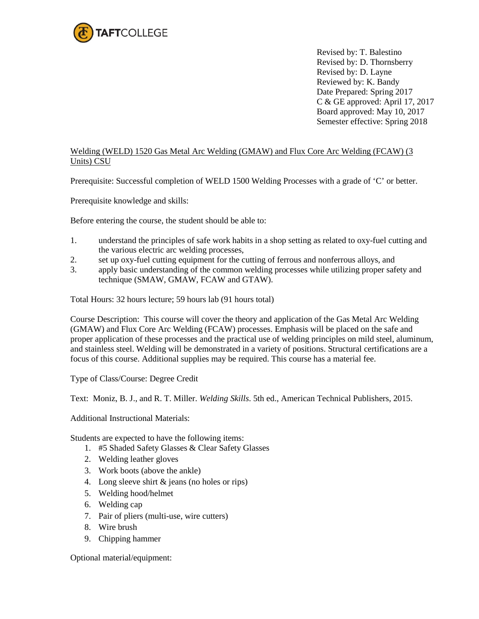

Revised by: T. Balestino Revised by: D. Thornsberry Revised by: D. Layne Reviewed by: K. Bandy Date Prepared: Spring 2017 C & GE approved: April 17, 2017 Board approved: May 10, 2017 Semester effective: Spring 2018

## Welding (WELD) 1520 Gas Metal Arc Welding (GMAW) and Flux Core Arc Welding (FCAW) (3 Units) CSU

Prerequisite: Successful completion of WELD 1500 Welding Processes with a grade of 'C' or better.

Prerequisite knowledge and skills:

Before entering the course, the student should be able to:

- 1. understand the principles of safe work habits in a shop setting as related to oxy-fuel cutting and the various electric arc welding processes,
- 2. set up oxy-fuel cutting equipment for the cutting of ferrous and nonferrous alloys, and
- 3. apply basic understanding of the common welding processes while utilizing proper safety and technique (SMAW, GMAW, FCAW and GTAW).

Total Hours: 32 hours lecture; 59 hours lab (91 hours total)

Course Description: This course will cover the theory and application of the Gas Metal Arc Welding (GMAW) and Flux Core Arc Welding (FCAW) processes. Emphasis will be placed on the safe and proper application of these processes and the practical use of welding principles on mild steel, aluminum, and stainless steel. Welding will be demonstrated in a variety of positions. Structural certifications are a focus of this course. Additional supplies may be required. This course has a material fee.

Type of Class/Course: Degree Credit

Text: Moniz, B. J., and R. T. Miller. *Welding Skills*. 5th ed., American Technical Publishers, 2015.

Additional Instructional Materials:

Students are expected to have the following items:

- 1. #5 Shaded Safety Glasses & Clear Safety Glasses
- 2. Welding leather gloves
- 3. Work boots (above the ankle)
- 4. Long sleeve shirt & jeans (no holes or rips)
- 5. Welding hood/helmet
- 6. Welding cap
- 7. Pair of pliers (multi-use, wire cutters)
- 8. Wire brush
- 9. Chipping hammer

Optional material/equipment: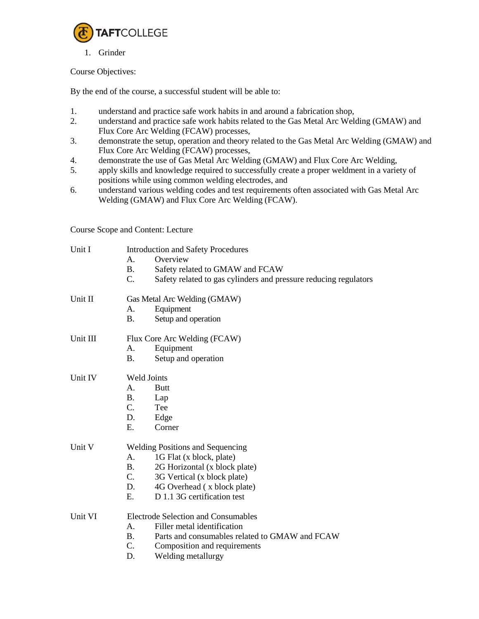

1. Grinder

## Course Objectives:

By the end of the course, a successful student will be able to:

- 1. understand and practice safe work habits in and around a fabrication shop,
- 2. understand and practice safe work habits related to the Gas Metal Arc Welding (GMAW) and Flux Core Arc Welding (FCAW) processes,
- 3. demonstrate the setup, operation and theory related to the Gas Metal Arc Welding (GMAW) and Flux Core Arc Welding (FCAW) processes,
- 4. demonstrate the use of Gas Metal Arc Welding (GMAW) and Flux Core Arc Welding,
- 5. apply skills and knowledge required to successfully create a proper weldment in a variety of positions while using common welding electrodes, and
- 6. understand various welding codes and test requirements often associated with Gas Metal Arc Welding (GMAW) and Flux Core Arc Welding (FCAW).

Course Scope and Content: Lecture

| Unit I   | <b>Introduction and Safety Procedures</b><br>Overview<br>A.<br><b>B.</b><br>Safety related to GMAW and FCAW<br>C.<br>Safety related to gas cylinders and pressure reducing regulators                                                           |
|----------|-------------------------------------------------------------------------------------------------------------------------------------------------------------------------------------------------------------------------------------------------|
| Unit II  | Gas Metal Arc Welding (GMAW)<br>Equipment<br>Α.<br><b>B.</b><br>Setup and operation                                                                                                                                                             |
| Unit III | Flux Core Arc Welding (FCAW)<br>A <sub>1</sub><br>Equipment<br><b>B.</b><br>Setup and operation                                                                                                                                                 |
| Unit IV  | <b>Weld Joints</b><br>A.<br><b>Butt</b><br><b>B.</b><br>Lap<br>$C_{\cdot}$<br>Tee<br>D.<br>Edge<br>Ε.<br>Corner                                                                                                                                 |
| Unit V   | <b>Welding Positions and Sequencing</b><br>1G Flat (x block, plate)<br>A.<br><b>B.</b><br>2G Horizontal (x block plate)<br>$C_{\cdot}$<br>3G Vertical (x block plate)<br>D.<br>4G Overhead (x block plate)<br>D 1.1 3G certification test<br>Ε. |
| Unit VI  | Electrode Selection and Consumables<br>Filler metal identification<br>A.<br>Parts and consumables related to GMAW and FCAW<br><b>B.</b><br>C.<br>Composition and requirements<br>D.<br>Welding metallurgy                                       |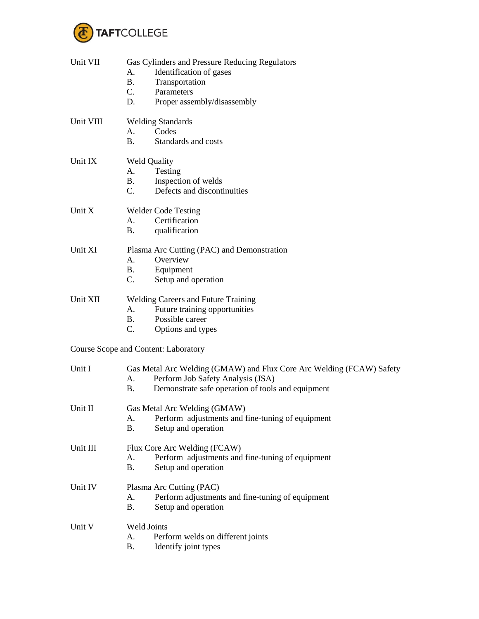

| Unit VII  | Gas Cylinders and Pressure Reducing Regulators<br>Identification of gases<br>А.<br><b>B.</b><br>Transportation<br>$C_{\cdot}$<br>Parameters<br>D.<br>Proper assembly/disassembly  |  |
|-----------|-----------------------------------------------------------------------------------------------------------------------------------------------------------------------------------|--|
| Unit VIII | <b>Welding Standards</b><br>Codes<br>Α.<br>Standards and costs<br><b>B.</b>                                                                                                       |  |
| Unit IX   | <b>Weld Quality</b><br>A.<br>Testing<br>Inspection of welds<br><b>B.</b><br>Defects and discontinuities<br>$C_{\cdot}$                                                            |  |
| Unit X    | <b>Welder Code Testing</b><br>Certification<br>А.<br>qualification<br><b>B.</b>                                                                                                   |  |
| Unit XI   | Plasma Arc Cutting (PAC) and Demonstration<br>Overview<br>A.<br><b>B.</b><br>Equipment<br>$C_{\cdot}$<br>Setup and operation                                                      |  |
| Unit XII  | <b>Welding Careers and Future Training</b><br>Future training opportunities<br>A.<br>Possible career<br><b>B.</b><br>C.<br>Options and types                                      |  |
|           | <b>Course Scope and Content: Laboratory</b>                                                                                                                                       |  |
| Unit I    | Gas Metal Arc Welding (GMAW) and Flux Core Arc Welding (FCAW) Safety<br>Perform Job Safety Analysis (JSA)<br>А.<br>Demonstrate safe operation of tools and equipment<br><b>B.</b> |  |
| Unit II   | Gas Metal Arc Welding (GMAW)<br>Perform adjustments and fine-tuning of equipment<br>А.<br><b>B.</b><br>Setup and operation                                                        |  |
| Unit III  | Flux Core Arc Welding (FCAW)<br>Perform adjustments and fine-tuning of equipment<br>A.<br><b>B.</b><br>Setup and operation                                                        |  |
| Unit IV   | Plasma Arc Cutting (PAC)<br>Perform adjustments and fine-tuning of equipment<br>A.<br><b>B.</b><br>Setup and operation                                                            |  |
| Unit V    | Weld Joints<br>A.<br>Perform welds on different joints<br><b>B.</b><br>Identify joint types                                                                                       |  |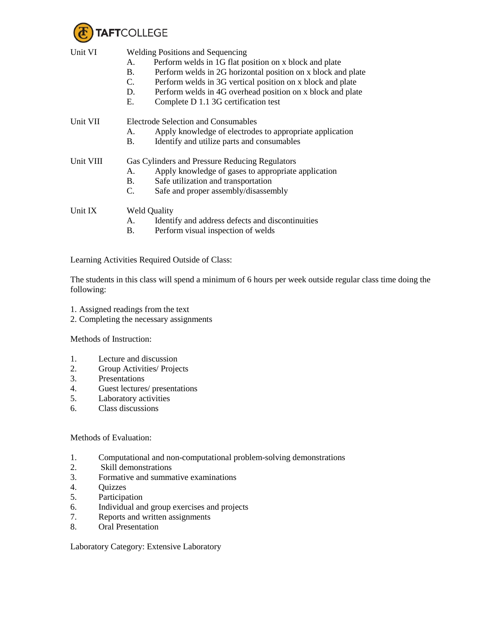

| Unit VI   | <b>Welding Positions and Sequencing</b><br>Perform welds in 1G flat position on x block and plate<br>А.<br>Perform welds in 2G horizontal position on x block and plate<br>B.<br>Perform welds in 3G vertical position on x block and plate<br>C.<br>D.<br>Perform welds in 4G overhead position on x block and plate<br>Е.<br>Complete D 1.1 3G certification test |  |  |
|-----------|---------------------------------------------------------------------------------------------------------------------------------------------------------------------------------------------------------------------------------------------------------------------------------------------------------------------------------------------------------------------|--|--|
|           |                                                                                                                                                                                                                                                                                                                                                                     |  |  |
| Unit VII  | <b>Electrode Selection and Consumables</b>                                                                                                                                                                                                                                                                                                                          |  |  |
|           | Apply knowledge of electrodes to appropriate application<br>А.                                                                                                                                                                                                                                                                                                      |  |  |
|           | Identify and utilize parts and consumables<br>В.                                                                                                                                                                                                                                                                                                                    |  |  |
| Unit VIII | Gas Cylinders and Pressure Reducing Regulators                                                                                                                                                                                                                                                                                                                      |  |  |
|           | Apply knowledge of gases to appropriate application<br>А.                                                                                                                                                                                                                                                                                                           |  |  |
|           | Safe utilization and transportation<br>B.                                                                                                                                                                                                                                                                                                                           |  |  |
|           | Safe and proper assembly/disassembly<br>C.                                                                                                                                                                                                                                                                                                                          |  |  |
| Unit IX   | <b>Weld Quality</b>                                                                                                                                                                                                                                                                                                                                                 |  |  |
|           | Identify and address defects and discontinuities<br>А.                                                                                                                                                                                                                                                                                                              |  |  |
|           | В.<br>Perform visual inspection of welds                                                                                                                                                                                                                                                                                                                            |  |  |

Learning Activities Required Outside of Class:

The students in this class will spend a minimum of 6 hours per week outside regular class time doing the following:

- 1. Assigned readings from the text
- 2. Completing the necessary assignments

Methods of Instruction:

- 1. Lecture and discussion
- 2. Group Activities/ Projects
- 3. Presentations
- 4. Guest lectures/ presentations
- 5. Laboratory activities
- 6. Class discussions

## Methods of Evaluation:

- 1. Computational and non-computational problem-solving demonstrations<br>2. Skill demonstrations
- Skill demonstrations
- 3. Formative and summative examinations
- 4. Quizzes
- 5. Participation
- 6. Individual and group exercises and projects
- 7. Reports and written assignments
- 8. Oral Presentation

Laboratory Category: Extensive Laboratory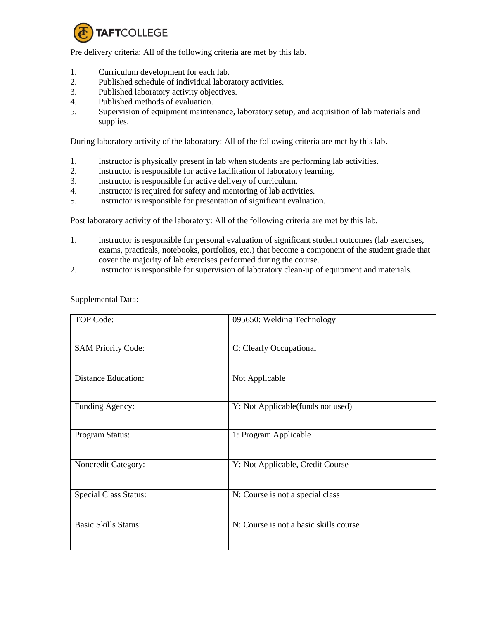

Pre delivery criteria: All of the following criteria are met by this lab.

- 1. Curriculum development for each lab.
- 2. Published schedule of individual laboratory activities.
- 3. Published laboratory activity objectives.
- 4. Published methods of evaluation.
- 5. Supervision of equipment maintenance, laboratory setup, and acquisition of lab materials and supplies.

During laboratory activity of the laboratory: All of the following criteria are met by this lab.

- 1. Instructor is physically present in lab when students are performing lab activities.
- 2. Instructor is responsible for active facilitation of laboratory learning.
- 3. Instructor is responsible for active delivery of curriculum.
- 4. Instructor is required for safety and mentoring of lab activities.
- 5. Instructor is responsible for presentation of significant evaluation.

Post laboratory activity of the laboratory: All of the following criteria are met by this lab.

- 1. Instructor is responsible for personal evaluation of significant student outcomes (lab exercises, exams, practicals, notebooks, portfolios, etc.) that become a component of the student grade that cover the majority of lab exercises performed during the course.
- 2. Instructor is responsible for supervision of laboratory clean-up of equipment and materials.

| <b>TOP Code:</b>             | 095650: Welding Technology             |
|------------------------------|----------------------------------------|
| <b>SAM Priority Code:</b>    | C: Clearly Occupational                |
| <b>Distance Education:</b>   | Not Applicable                         |
| Funding Agency:              | Y: Not Applicable(funds not used)      |
| Program Status:              | 1: Program Applicable                  |
| Noncredit Category:          | Y: Not Applicable, Credit Course       |
| <b>Special Class Status:</b> | N: Course is not a special class       |
| <b>Basic Skills Status:</b>  | N: Course is not a basic skills course |

Supplemental Data: